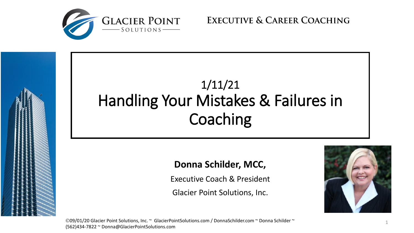

**EXECUTIVE & CAREER COACHING** 



©09/01/20 Glacier Point Solutions, Inc. ~ GlacierPointSolutions.com / DonnaSchilder.com ~ Donna Schilder ~  $_{1}$ (562)434-7822 ~ Donna@GlacierPointSolutions.com

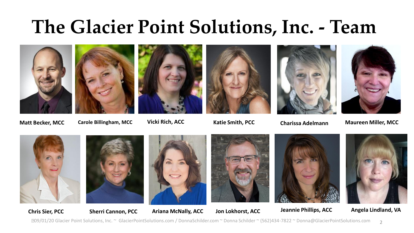# **The Glacier Point Solutions, Inc. - Team**









**Matt Becker, MCC Carole Billingham, MCC Vicki Rich, ACC Katie Smith, PCC Charissa Adelmann Maureen Miller, MCC**













09/01/20 Glacier Point Solutions, Inc. ~ GlacierPointSolutions.com / DonnaSchilder.com ~ Donna Schilder ~ (562)434-7822 ~ Donna@GlacierPointSolutions.com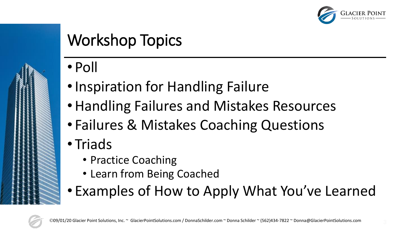

## Workshop Topics

- Poll
- Inspiration for Handling Failure
- •Handling Failures and Mistakes Resources
- Failures & Mistakes Coaching Questions
- Triads
	- Practice Coaching
	- Learn from Being Coached
- Examples of How to Apply What You've Learned

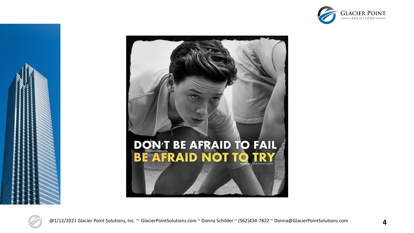



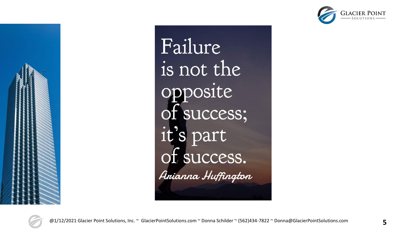



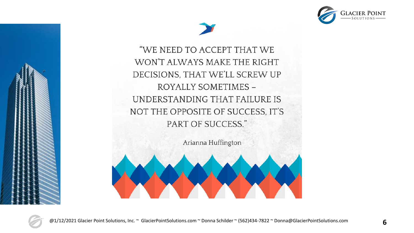



"WE NEED TO ACCEPT THAT WE WON'T ALWAYS MAKE THE RIGHT DECISIONS, THAT WE'LL SCREW UP ROYALLY SOMETIMES -UNDERSTANDING THAT FAILURE IS NOT THE OPPOSITE OF SUCCESS, IT'S PART OF SUCCESS."

Arianna Huffington



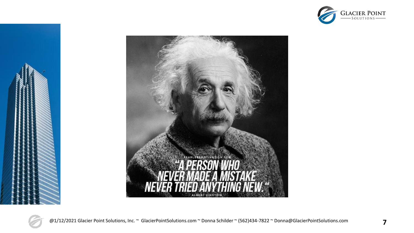







@1/12/2021 Glacier Point Solutions, Inc. ~ GlacierPointSolutions.com ~ Donna Schilder ~ (562)434-7822 ~ Donna@GlacierPointSolutions.com **7**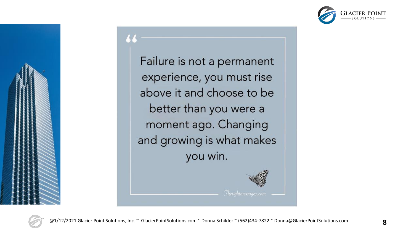

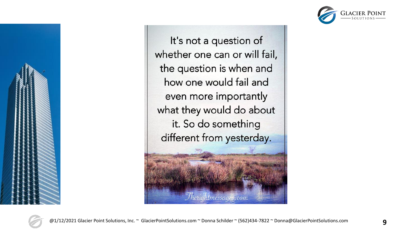



It's not a question of whether one can or will fail, the question is when and how one would fail and even more importantly what they would do about it. So do something different from yesterday.



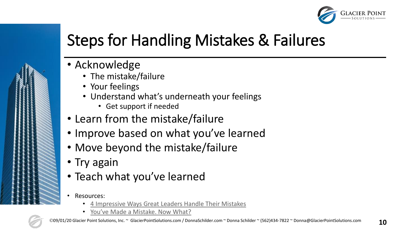

## Steps for Handling Mistakes & Failures

- Acknowledge
	- The mistake/failure
	- Your feelings
	- Understand what's underneath your feelings
		- Get support if needed
- Learn from the mistake/failure
- Improve based on what you've learned
- Move beyond the mistake/failure
- Try again
- Teach what you've learned
- Resources:
	- [4 Impressive Ways Great Leaders Handle Their Mistakes](https://www.inc.com/lolly-daskal/4-impressive-ways-great-leaders-handle-their-mistakes.html)
	- [You've Made a Mistake. Now What?](https://hbr.org/2010/04/youve-made-a-mistake-now-what)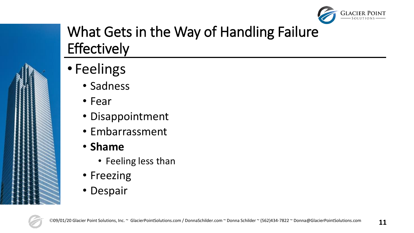

### What Gets in the Way of Handling Failure **Effectively**

- Feelings
	- Sadness
	- Fear
	- Disappointment
	- Embarrassment
	- **Shame**
		- Feeling less than
	- Freezing
	- Despair

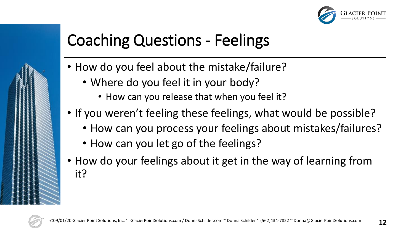

## Coaching Questions - Feelings

- How do you feel about the mistake/failure?
	- Where do you feel it in your body?
		- How can you release that when you feel it?
- If you weren't feeling these feelings, what would be possible?
	- How can you process your feelings about mistakes/failures?
	- How can you let go of the feelings?
- How do your feelings about it get in the way of learning from it?

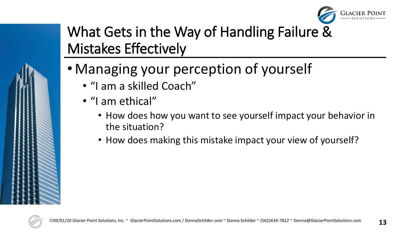

### What Gets in the Way of Handling Failure & Mistakes Effectively

- Managing your perception of yourself
	- "I am a skilled Coach"
	- "I am ethical"
		- How does how you want to see yourself impact your behavior in the situation?
		- How does making this mistake impact your view of yourself?

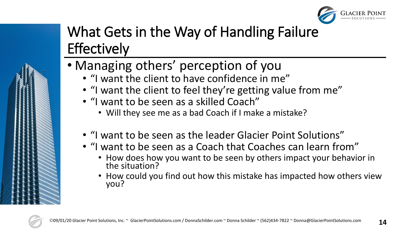

## What Gets in the Way of Handling Failure **Effectively**

- Managing others' perception of you
	- "I want the client to have confidence in me"
	- "I want the client to feel they're getting value from me"
	- "I want to be seen as a skilled Coach"
		- Will they see me as a bad Coach if I make a mistake?
	- "I want to be seen as the leader Glacier Point Solutions"
	- "I want to be seen as a Coach that Coaches can learn from"
		- How does how you want to be seen by others impact your behavior in the situation?
		- How could you find out how this mistake has impacted how others view you?

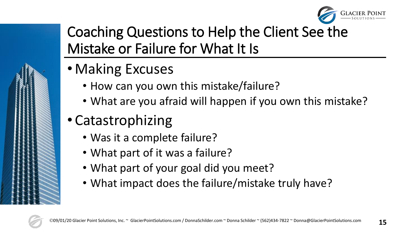

### Coaching Questions to Help the Client See the Mistake or Failure for What It Is

- Making Excuses
	- How can you own this mistake/failure?
	- What are you afraid will happen if you own this mistake?
- Catastrophizing
	- Was it a complete failure?
	- What part of it was a failure?
	- What part of your goal did you meet?
	- What impact does the failure/mistake truly have?

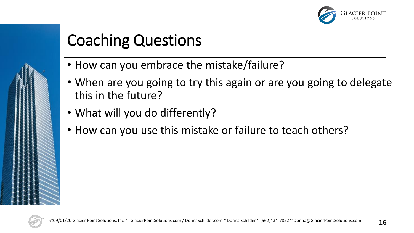

## Coaching Questions

- How can you embrace the mistake/failure?
- When are you going to try this again or are you going to delegate this in the future?
- What will you do differently?
- How can you use this mistake or failure to teach others?

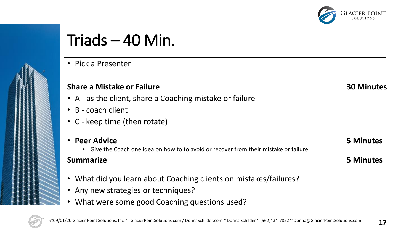

## Triads – 40 Min.

• Pick a Presenter

### **Share a Mistake or Failure 30 Minutes**

- A as the client, share a Coaching mistake or failure
- B coach client
- C keep time (then rotate)
- **Peer Advice 5 Minutes**
	- Give the Coach one idea on how to to avoid or recover from their mistake or failure

### **Summarize 5 Minutes**

- What did you learn about Coaching clients on mistakes/failures?
- Any new strategies or techniques?
- What were some good Coaching questions used?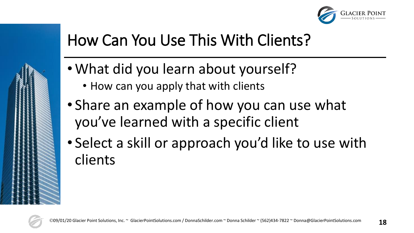

### How Can You Use This With Clients?

- What did you learn about yourself?
	- How can you apply that with clients
- Share an example of how you can use what you've learned with a specific client
- Select a skill or approach you'd like to use with clients

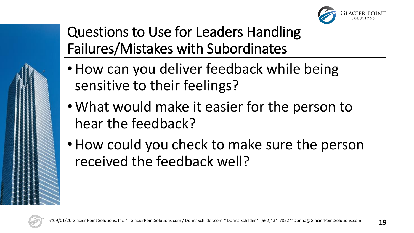

Questions to Use for Leaders Handling Failures/Mistakes with Subordinates

- How can you deliver feedback while being sensitive to their feelings?
- What would make it easier for the person to hear the feedback?
- How could you check to make sure the person received the feedback well?

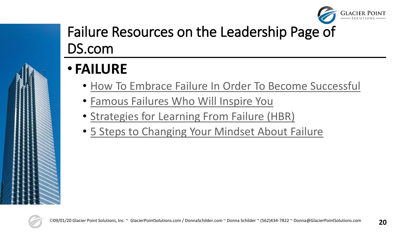

### Failure Resources on the Leadership Page of DS.com

- **FAILURE**
	- [How To Embrace Failure In Order To Become Successful](http://www.forbes.com/sites/theyec/2014/08/12/how-to-embrace-failure-in-order-to-become-successful/?utm_campaign=forbesfbsf&utm_source=facebook&utm_medium=social)
	- [Famous Failures Who Will Inspire You](http://www.entrepreneur.com/article/241361?utm_content=10979037&utm_medium=social&utm_source=facebook)
	- [Strategies for Learning From Failure \(HBR\)](https://hbr.org/2011/04/strategies-for-learning-from-failure)
	- [5 Steps to Changing Your Mindset About Failure](https://www.fastcompany.com/90248659/5-steps-to-changing-your-mindset-about-failure)